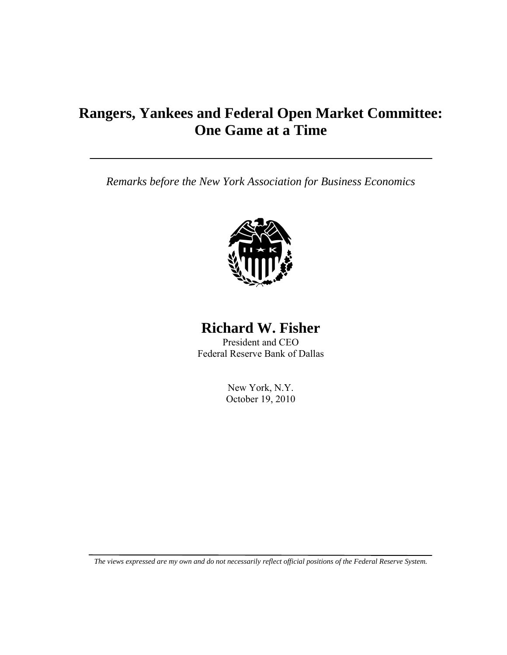# **Rangers, Yankees and Federal Open Market Committee: One Game at a Time**

*Remarks before the New York Association for Business Economics* 



## **Richard W. Fisher**

President and CEO Federal Reserve Bank of Dallas

> New York, N.Y. October 19, 2010

*The views expressed are my own and do not necessarily reflect official positions of the Federal Reserve System.*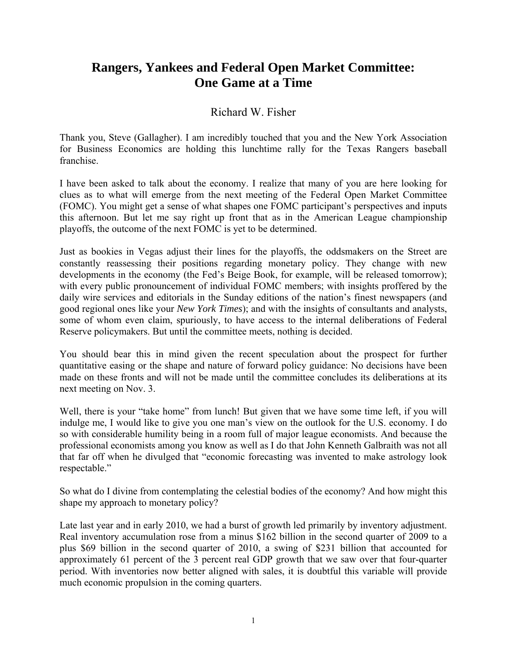### **Rangers, Yankees and Federal Open Market Committee: One Game at a Time**

#### Richard W. Fisher

Thank you, Steve (Gallagher). I am incredibly touched that you and the New York Association for Business Economics are holding this lunchtime rally for the Texas Rangers baseball franchise.

I have been asked to talk about the economy. I realize that many of you are here looking for clues as to what will emerge from the next meeting of the Federal Open Market Committee (FOMC). You might get a sense of what shapes one FOMC participant's perspectives and inputs this afternoon. But let me say right up front that as in the American League championship playoffs, the outcome of the next FOMC is yet to be determined.

Just as bookies in Vegas adjust their lines for the playoffs, the oddsmakers on the Street are constantly reassessing their positions regarding monetary policy. They change with new developments in the economy (the Fed's Beige Book, for example, will be released tomorrow); with every public pronouncement of individual FOMC members; with insights proffered by the daily wire services and editorials in the Sunday editions of the nation's finest newspapers (and good regional ones like your *New York Times*); and with the insights of consultants and analysts, some of whom even claim, spuriously, to have access to the internal deliberations of Federal Reserve policymakers. But until the committee meets, nothing is decided.

You should bear this in mind given the recent speculation about the prospect for further quantitative easing or the shape and nature of forward policy guidance: No decisions have been made on these fronts and will not be made until the committee concludes its deliberations at its next meeting on Nov. 3.

Well, there is your "take home" from lunch! But given that we have some time left, if you will indulge me, I would like to give you one man's view on the outlook for the U.S. economy. I do so with considerable humility being in a room full of major league economists. And because the professional economists among you know as well as I do that John Kenneth Galbraith was not all that far off when he divulged that "economic forecasting was invented to make astrology look respectable."

So what do I divine from contemplating the celestial bodies of the economy? And how might this shape my approach to monetary policy?

Late last year and in early 2010, we had a burst of growth led primarily by inventory adjustment. Real inventory accumulation rose from a minus \$162 billion in the second quarter of 2009 to a plus \$69 billion in the second quarter of 2010, a swing of \$231 billion that accounted for approximately 61 percent of the 3 percent real GDP growth that we saw over that four-quarter period. With inventories now better aligned with sales, it is doubtful this variable will provide much economic propulsion in the coming quarters.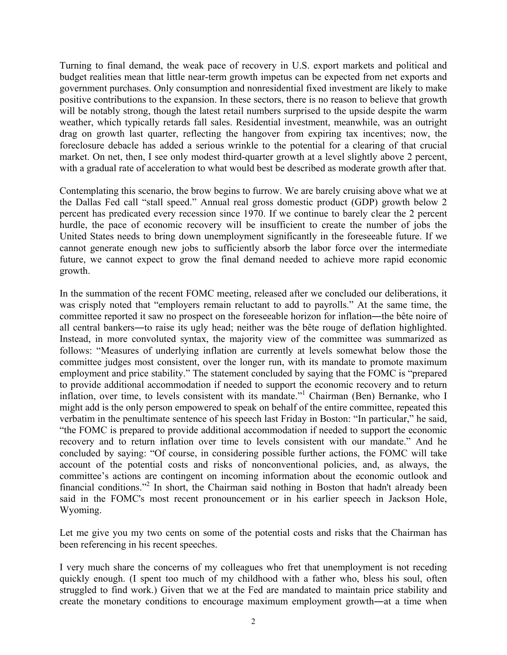Turning to final demand, the weak pace of recovery in U.S. export markets and political and budget realities mean that little near-term growth impetus can be expected from net exports and government purchases. Only consumption and nonresidential fixed investment are likely to make positive contributions to the expansion. In these sectors, there is no reason to believe that growth will be notably strong, though the latest retail numbers surprised to the upside despite the warm weather, which typically retards fall sales. Residential investment, meanwhile, was an outright drag on growth last quarter, reflecting the hangover from expiring tax incentives; now, the foreclosure debacle has added a serious wrinkle to the potential for a clearing of that crucial market. On net, then, I see only modest third-quarter growth at a level slightly above 2 percent, with a gradual rate of acceleration to what would best be described as moderate growth after that.

Contemplating this scenario, the brow begins to furrow. We are barely cruising above what we at the Dallas Fed call "stall speed." Annual real gross domestic product (GDP) growth below 2 percent has predicated every recession since 1970. If we continue to barely clear the 2 percent hurdle, the pace of economic recovery will be insufficient to create the number of jobs the United States needs to bring down unemployment significantly in the foreseeable future. If we cannot generate enough new jobs to sufficiently absorb the labor force over the intermediate future, we cannot expect to grow the final demand needed to achieve more rapid economic growth.

In the summation of the recent FOMC meeting, released after we concluded our deliberations, it was crisply noted that "employers remain reluctant to add to payrolls." At the same time, the committee reported it saw no prospect on the foreseeable horizon for inflation―the bête noire of all central bankers―to raise its ugly head; neither was the bête rouge of deflation highlighted. Instead, in more convoluted syntax, the majority view of the committee was summarized as follows: "Measures of underlying inflation are currently at levels somewhat below those the committee judges most consistent, over the longer run, with its mandate to promote maximum employment and price stability." The statement concluded by saying that the FOMC is "prepared to provide additional accommodation if needed to support the economic recovery and to return inflation, over time, to levels consistent with its mandate."<sup>1</sup> Chairman (Ben) Bernanke, who I might add is the only person empowered to speak on behalf of the entire committee, repeated this verbatim in the penultimate sentence of his speech last Friday in Boston: "In particular," he said, "the FOMC is prepared to provide additional accommodation if needed to support the economic recovery and to return inflation over time to levels consistent with our mandate." And he concluded by saying: "Of course, in considering possible further actions, the FOMC will take account of the potential costs and risks of nonconventional policies, and, as always, the committee's actions are contingent on incoming information about the economic outlook and financial conditions."<sup>2</sup> In short, the Chairman said nothing in Boston that hadn't already been said in the FOMC's most recent pronouncement or in his earlier speech in Jackson Hole, Wyoming.

Let me give you my two cents on some of the potential costs and risks that the Chairman has been referencing in his recent speeches.

I very much share the concerns of my colleagues who fret that unemployment is not receding quickly enough. (I spent too much of my childhood with a father who, bless his soul, often struggled to find work.) Given that we at the Fed are mandated to maintain price stability and create the monetary conditions to encourage maximum employment growth―at a time when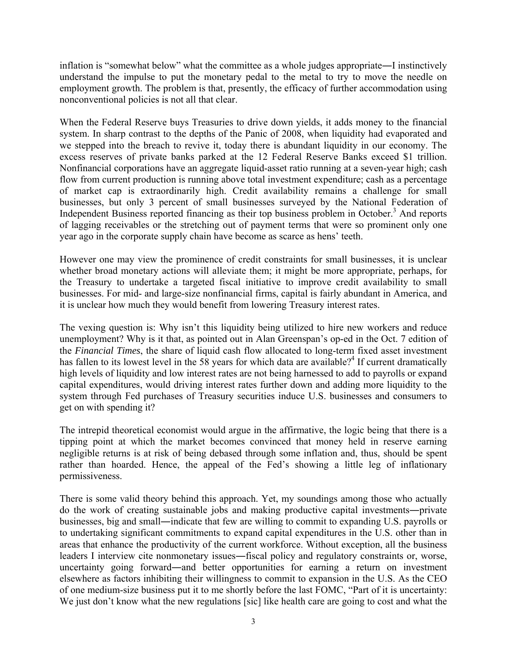inflation is "somewhat below" what the committee as a whole judges appropriate―I instinctively understand the impulse to put the monetary pedal to the metal to try to move the needle on employment growth. The problem is that, presently, the efficacy of further accommodation using nonconventional policies is not all that clear.

When the Federal Reserve buys Treasuries to drive down yields, it adds money to the financial system. In sharp contrast to the depths of the Panic of 2008, when liquidity had evaporated and we stepped into the breach to revive it, today there is abundant liquidity in our economy. The excess reserves of private banks parked at the 12 Federal Reserve Banks exceed \$1 trillion. Nonfinancial corporations have an aggregate liquid-asset ratio running at a seven-year high; cash flow from current production is running above total investment expenditure; cash as a percentage of market cap is extraordinarily high. Credit availability remains a challenge for small businesses, but only 3 percent of small businesses surveyed by the National Federation of Independent Business reported financing as their top business problem in October.<sup>3</sup> And reports of lagging receivables or the stretching out of payment terms that were so prominent only one year ago in the corporate supply chain have become as scarce as hens' teeth.

However one may view the prominence of credit constraints for small businesses, it is unclear whether broad monetary actions will alleviate them; it might be more appropriate, perhaps, for the Treasury to undertake a targeted fiscal initiative to improve credit availability to small businesses. For mid- and large-size nonfinancial firms, capital is fairly abundant in America, and it is unclear how much they would benefit from lowering Treasury interest rates.

The vexing question is: Why isn't this liquidity being utilized to hire new workers and reduce unemployment? Why is it that, as pointed out in Alan Greenspan's op-ed in the Oct. 7 edition of the *Financial Times*, the share of liquid cash flow allocated to long-term fixed asset investment has fallen to its lowest level in the 58 years for which data are available?<sup>4</sup> If current dramatically high levels of liquidity and low interest rates are not being harnessed to add to payrolls or expand capital expenditures, would driving interest rates further down and adding more liquidity to the system through Fed purchases of Treasury securities induce U.S. businesses and consumers to get on with spending it?

The intrepid theoretical economist would argue in the affirmative, the logic being that there is a tipping point at which the market becomes convinced that money held in reserve earning negligible returns is at risk of being debased through some inflation and, thus, should be spent rather than hoarded. Hence, the appeal of the Fed's showing a little leg of inflationary permissiveness.

There is some valid theory behind this approach. Yet, my soundings among those who actually do the work of creating sustainable jobs and making productive capital investments―private businesses, big and small―indicate that few are willing to commit to expanding U.S. payrolls or to undertaking significant commitments to expand capital expenditures in the U.S. other than in areas that enhance the productivity of the current workforce. Without exception, all the business leaders I interview cite nonmonetary issues―fiscal policy and regulatory constraints or, worse, uncertainty going forward―and better opportunities for earning a return on investment elsewhere as factors inhibiting their willingness to commit to expansion in the U.S. As the CEO of one medium-size business put it to me shortly before the last FOMC, "Part of it is uncertainty: We just don't know what the new regulations [sic] like health care are going to cost and what the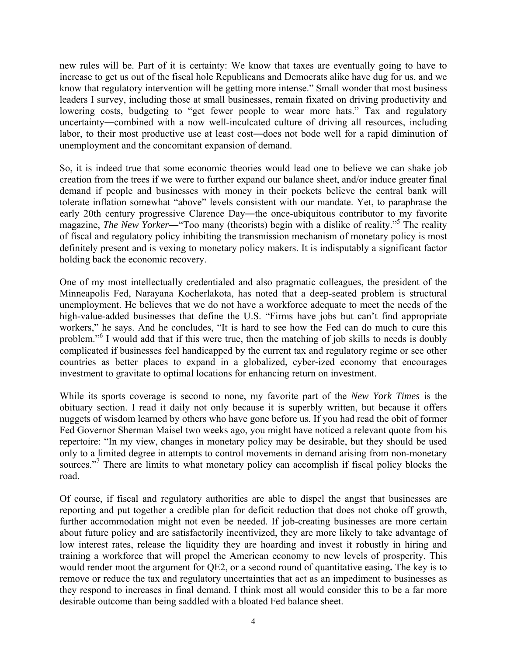new rules will be. Part of it is certainty: We know that taxes are eventually going to have to increase to get us out of the fiscal hole Republicans and Democrats alike have dug for us, and we know that regulatory intervention will be getting more intense." Small wonder that most business leaders I survey, including those at small businesses, remain fixated on driving productivity and lowering costs, budgeting to "get fewer people to wear more hats." Tax and regulatory uncertainty―combined with a now well-inculcated culture of driving all resources, including labor, to their most productive use at least cost―does not bode well for a rapid diminution of unemployment and the concomitant expansion of demand.

So, it is indeed true that some economic theories would lead one to believe we can shake job creation from the trees if we were to further expand our balance sheet, and/or induce greater final demand if people and businesses with money in their pockets believe the central bank will tolerate inflation somewhat "above" levels consistent with our mandate. Yet, to paraphrase the early 20th century progressive Clarence Day―the once-ubiquitous contributor to my favorite magazine, *The New Yorker*—"Too many (theorists) begin with a dislike of reality."<sup>5</sup> The reality of fiscal and regulatory policy inhibiting the transmission mechanism of monetary policy is most definitely present and is vexing to monetary policy makers. It is indisputably a significant factor holding back the economic recovery.

One of my most intellectually credentialed and also pragmatic colleagues, the president of the Minneapolis Fed, Narayana Kocherlakota, has noted that a deep-seated problem is structural unemployment. He believes that we do not have a workforce adequate to meet the needs of the high-value-added businesses that define the U.S. "Firms have jobs but can't find appropriate workers," he says. And he concludes, "It is hard to see how the Fed can do much to cure this problem."<sup>6</sup> I would add that if this were true, then the matching of job skills to needs is doubly complicated if businesses feel handicapped by the current tax and regulatory regime or see other countries as better places to expand in a globalized, cyber-ized economy that encourages investment to gravitate to optimal locations for enhancing return on investment.

While its sports coverage is second to none, my favorite part of the *New York Times* is the obituary section. I read it daily not only because it is superbly written, but because it offers nuggets of wisdom learned by others who have gone before us. If you had read the obit of former Fed Governor Sherman Maisel two weeks ago, you might have noticed a relevant quote from his repertoire: "In my view, changes in monetary policy may be desirable, but they should be used only to a limited degree in attempts to control movements in demand arising from non-monetary sources."<sup>7</sup> There are limits to what monetary policy can accomplish if fiscal policy blocks the road.

Of course, if fiscal and regulatory authorities are able to dispel the angst that businesses are reporting and put together a credible plan for deficit reduction that does not choke off growth, further accommodation might not even be needed. If job-creating businesses are more certain about future policy and are satisfactorily incentivized, they are more likely to take advantage of low interest rates, release the liquidity they are hoarding and invest it robustly in hiring and training a workforce that will propel the American economy to new levels of prosperity. This would render moot the argument for QE2, or a second round of quantitative easing**.** The key is to remove or reduce the tax and regulatory uncertainties that act as an impediment to businesses as they respond to increases in final demand. I think most all would consider this to be a far more desirable outcome than being saddled with a bloated Fed balance sheet.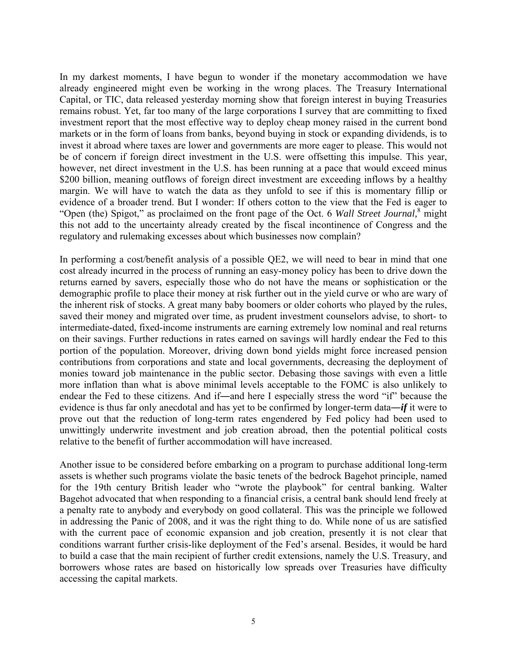In my darkest moments, I have begun to wonder if the monetary accommodation we have already engineered might even be working in the wrong places. The Treasury International Capital, or TIC, data released yesterday morning show that foreign interest in buying Treasuries remains robust. Yet, far too many of the large corporations I survey that are committing to fixed investment report that the most effective way to deploy cheap money raised in the current bond markets or in the form of loans from banks, beyond buying in stock or expanding dividends, is to invest it abroad where taxes are lower and governments are more eager to please. This would not be of concern if foreign direct investment in the U.S. were offsetting this impulse. This year, however, net direct investment in the U.S. has been running at a pace that would exceed minus \$200 billion, meaning outflows of foreign direct investment are exceeding inflows by a healthy margin. We will have to watch the data as they unfold to see if this is momentary fillip or evidence of a broader trend. But I wonder: If others cotton to the view that the Fed is eager to "Open (the) Spigot," as proclaimed on the front page of the Oct. 6 *Wall Street Journal,*<sup>8</sup> might this not add to the uncertainty already created by the fiscal incontinence of Congress and the regulatory and rulemaking excesses about which businesses now complain?

In performing a cost/benefit analysis of a possible QE2, we will need to bear in mind that one cost already incurred in the process of running an easy-money policy has been to drive down the returns earned by savers, especially those who do not have the means or sophistication or the demographic profile to place their money at risk further out in the yield curve or who are wary of the inherent risk of stocks. A great many baby boomers or older cohorts who played by the rules, saved their money and migrated over time, as prudent investment counselors advise, to short- to intermediate-dated, fixed-income instruments are earning extremely low nominal and real returns on their savings. Further reductions in rates earned on savings will hardly endear the Fed to this portion of the population. Moreover, driving down bond yields might force increased pension contributions from corporations and state and local governments, decreasing the deployment of monies toward job maintenance in the public sector. Debasing those savings with even a little more inflation than what is above minimal levels acceptable to the FOMC is also unlikely to endear the Fed to these citizens. And if―and here I especially stress the word "if" because the evidence is thus far only anecdotal and has yet to be confirmed by longer-term data―*if* it were to prove out that the reduction of long-term rates engendered by Fed policy had been used to unwittingly underwrite investment and job creation abroad, then the potential political costs relative to the benefit of further accommodation will have increased.

Another issue to be considered before embarking on a program to purchase additional long-term assets is whether such programs violate the basic tenets of the bedrock Bagehot principle, named for the 19th century British leader who "wrote the playbook" for central banking. Walter Bagehot advocated that when responding to a financial crisis, a central bank should lend freely at a penalty rate to anybody and everybody on good collateral. This was the principle we followed in addressing the Panic of 2008, and it was the right thing to do. While none of us are satisfied with the current pace of economic expansion and job creation, presently it is not clear that conditions warrant further crisis-like deployment of the Fed's arsenal. Besides, it would be hard to build a case that the main recipient of further credit extensions, namely the U.S. Treasury, and borrowers whose rates are based on historically low spreads over Treasuries have difficulty accessing the capital markets.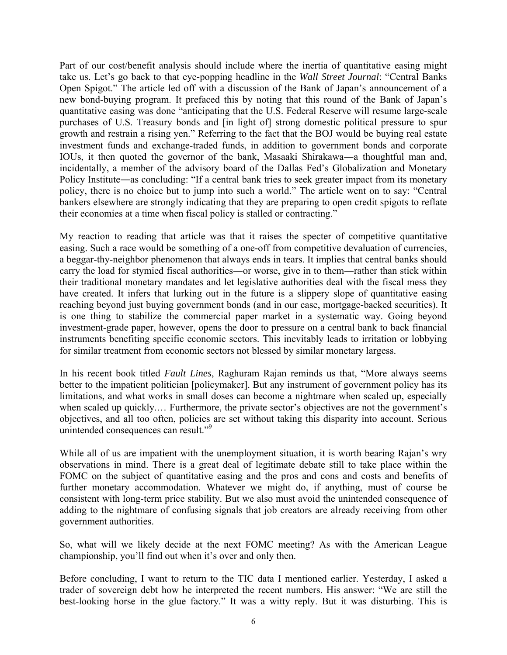Part of our cost/benefit analysis should include where the inertia of quantitative easing might take us. Let's go back to that eye-popping headline in the *Wall Street Journal*: "Central Banks Open Spigot." The article led off with a discussion of the Bank of Japan's announcement of a new bond-buying program. It prefaced this by noting that this round of the Bank of Japan's quantitative easing was done "anticipating that the U.S. Federal Reserve will resume large-scale purchases of U.S. Treasury bonds and [in light of] strong domestic political pressure to spur growth and restrain a rising yen." Referring to the fact that the BOJ would be buying real estate investment funds and exchange-traded funds, in addition to government bonds and corporate IOUs, it then quoted the governor of the bank, Masaaki Shirakawa―a thoughtful man and, incidentally, a member of the advisory board of the Dallas Fed's Globalization and Monetary Policy Institute—as concluding: "If a central bank tries to seek greater impact from its monetary policy, there is no choice but to jump into such a world." The article went on to say: "Central bankers elsewhere are strongly indicating that they are preparing to open credit spigots to reflate their economies at a time when fiscal policy is stalled or contracting."

My reaction to reading that article was that it raises the specter of competitive quantitative easing. Such a race would be something of a one-off from competitive devaluation of currencies, a beggar-thy-neighbor phenomenon that always ends in tears. It implies that central banks should carry the load for stymied fiscal authorities―or worse, give in to them―rather than stick within their traditional monetary mandates and let legislative authorities deal with the fiscal mess they have created. It infers that lurking out in the future is a slippery slope of quantitative easing reaching beyond just buying government bonds (and in our case, mortgage-backed securities). It is one thing to stabilize the commercial paper market in a systematic way. Going beyond investment-grade paper, however, opens the door to pressure on a central bank to back financial instruments benefiting specific economic sectors. This inevitably leads to irritation or lobbying for similar treatment from economic sectors not blessed by similar monetary largess.

In his recent book titled *Fault Lines*, Raghuram Rajan reminds us that, "More always seems better to the impatient politician [policymaker]. But any instrument of government policy has its limitations, and what works in small doses can become a nightmare when scaled up, especially when scaled up quickly.… Furthermore, the private sector's objectives are not the government's objectives, and all too often, policies are set without taking this disparity into account. Serious unintended consequences can result."9

While all of us are impatient with the unemployment situation, it is worth bearing Rajan's wry observations in mind. There is a great deal of legitimate debate still to take place within the FOMC on the subject of quantitative easing and the pros and cons and costs and benefits of further monetary accommodation. Whatever we might do, if anything, must of course be consistent with long-term price stability. But we also must avoid the unintended consequence of adding to the nightmare of confusing signals that job creators are already receiving from other government authorities.

So, what will we likely decide at the next FOMC meeting? As with the American League championship, you'll find out when it's over and only then.

Before concluding, I want to return to the TIC data I mentioned earlier. Yesterday, I asked a trader of sovereign debt how he interpreted the recent numbers. His answer: "We are still the best-looking horse in the glue factory." It was a witty reply. But it was disturbing. This is